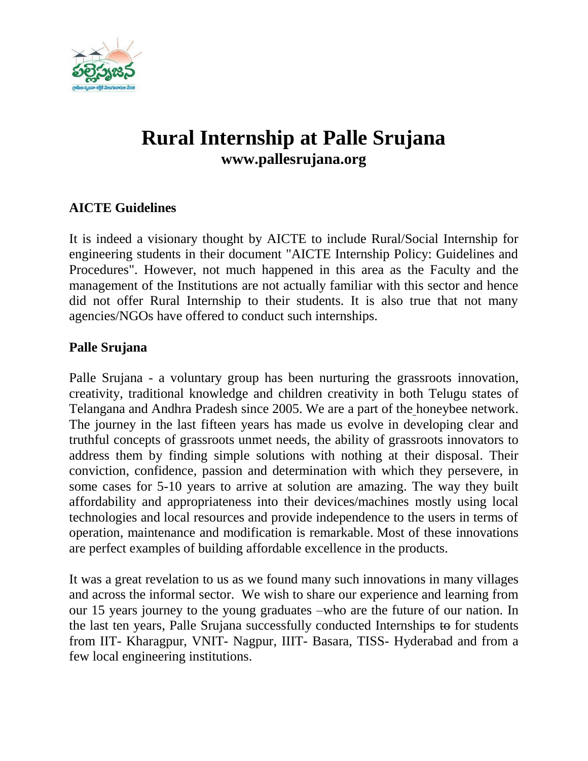

# **Rural Internship at Palle Srujana www.pallesrujana.org**

# **AICTE Guidelines**

It is indeed a visionary thought by AICTE to include Rural/Social Internship for engineering students in their document "AICTE Internship Policy: Guidelines and Procedures". However, not much happened in this area as the Faculty and the management of the Institutions are not actually familiar with this sector and hence did not offer Rural Internship to their students. It is also true that not many agencies/NGOs have offered to conduct such internships.

#### **Palle Srujana**

Palle Srujana - a voluntary group has been nurturing the grassroots innovation, creativity, traditional knowledge and children creativity in both Telugu states of Telangana and Andhra Pradesh since 2005. We are a part of the honeybee network. The journey in the last fifteen years has made us evolve in developing clear and truthful concepts of grassroots unmet needs, the ability of grassroots innovators to address them by finding simple solutions with nothing at their disposal. Their conviction, confidence, passion and determination with which they persevere, in some cases for 5-10 years to arrive at solution are amazing. The way they built affordability and appropriateness into their devices/machines mostly using local technologies and local resources and provide independence to the users in terms of operation, maintenance and modification is remarkable. Most of these innovations are perfect examples of building affordable excellence in the products.

It was a great revelation to us as we found many such innovations in many villages and across the informal sector. We wish to share our experience and learning from our 15 years journey to the young graduates –who are the future of our nation. In the last ten years, Palle Srujana successfully conducted Internships to for students from IIT- Kharagpur, VNIT- Nagpur, IIIT- Basara, TISS- Hyderabad and from a few local engineering institutions.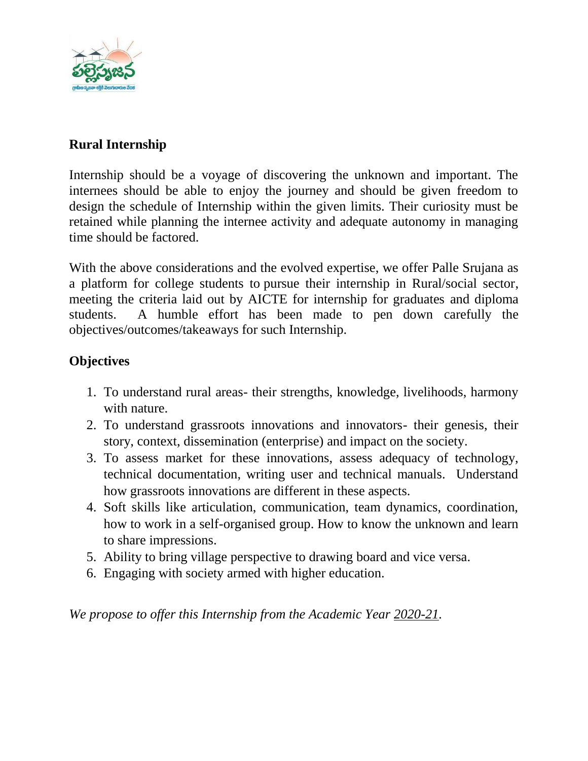

# **Rural Internship**

Internship should be a voyage of discovering the unknown and important. The internees should be able to enjoy the journey and should be given freedom to design the schedule of Internship within the given limits. Their curiosity must be retained while planning the internee activity and adequate autonomy in managing time should be factored.

With the above considerations and the evolved expertise, we offer Palle Srujana as a platform for college students to pursue their internship in Rural/social sector, meeting the criteria laid out by AICTE for internship for graduates and diploma students. A humble effort has been made to pen down carefully the objectives/outcomes/takeaways for such Internship.

# **Objectives**

- 1. To understand rural areas- their strengths, knowledge, livelihoods, harmony with nature.
- 2. To understand grassroots innovations and innovators- their genesis, their story, context, dissemination (enterprise) and impact on the society.
- 3. To assess market for these innovations, assess adequacy of technology, technical documentation, writing user and technical manuals. Understand how grassroots innovations are different in these aspects.
- 4. Soft skills like articulation, communication, team dynamics, coordination, how to work in a self-organised group. How to know the unknown and learn to share impressions.
- 5. Ability to bring village perspective to drawing board and vice versa.
- 6. Engaging with society armed with higher education.

*We propose to offer this Internship from the Academic Year 2020-21.*